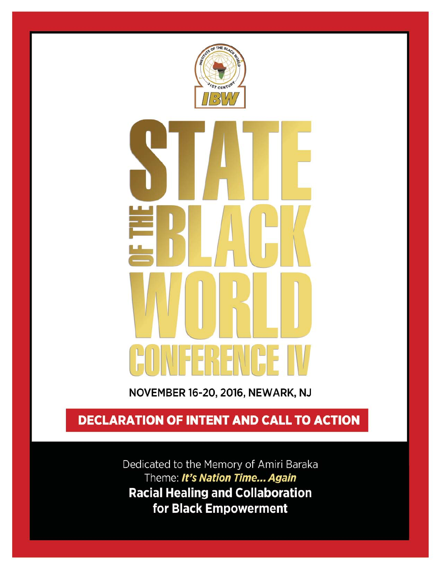

NOVEMBER 16-20, 2016, NEWARK, NJ

**DECLARATION OF INTENT AND CALL TO ACTION** 

Dedicated to the Memory of Amiri Baraka Theme: It's Nation Time... Again **Racial Healing and Collaboration** for Black Empowerment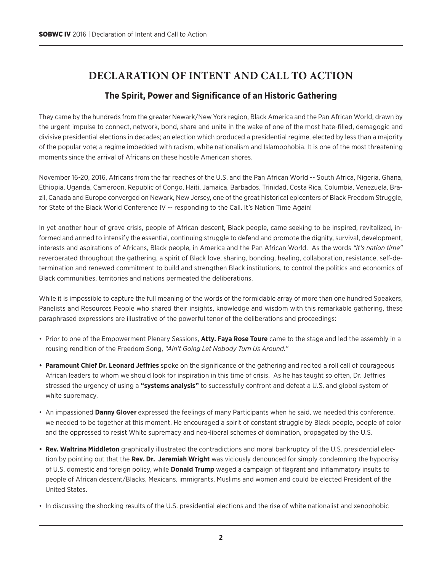# **DECLARATION OF INTENT AND CALL TO ACTION**

### **The Spirit, Power and Significance of an Historic Gathering**

They came by the hundreds from the greater Newark/New York region, Black America and the Pan African World, drawn by the urgent impulse to connect, network, bond, share and unite in the wake of one of the most hate-filled, demagogic and divisive presidential elections in decades; an election which produced a presidential regime, elected by less than a majority of the popular vote; a regime imbedded with racism, white nationalism and Islamophobia. It is one of the most threatening moments since the arrival of Africans on these hostile American shores.

November 16-20, 2016, Africans from the far reaches of the U.S. and the Pan African World -- South Africa, Nigeria, Ghana, Ethiopia, Uganda, Cameroon, Republic of Congo, Haiti, Jamaica, Barbados, Trinidad, Costa Rica, Columbia, Venezuela, Brazil, Canada and Europe converged on Newark, New Jersey, one of the great historical epicenters of Black Freedom Struggle, for State of the Black World Conference IV -- responding to the Call. It's Nation Time Again!

In yet another hour of grave crisis, people of African descent, Black people, came seeking to be inspired, revitalized, informed and armed to intensify the essential, continuing struggle to defend and promote the dignity, survival, development, interests and aspirations of Africans, Black people, in America and the Pan African World. As the words *"it's nation time"*  reverberated throughout the gathering, a spirit of Black love, sharing, bonding, healing, collaboration, resistance, self-determination and renewed commitment to build and strengthen Black institutions, to control the politics and economics of Black communities, territories and nations permeated the deliberations.

While it is impossible to capture the full meaning of the words of the formidable array of more than one hundred Speakers, Panelists and Resources People who shared their insights, knowledge and wisdom with this remarkable gathering, these paraphrased expressions are illustrative of the powerful tenor of the deliberations and proceedings:

- Prior to one of the Empowerment Plenary Sessions, **Atty. Faya Rose Toure** came to the stage and led the assembly in a rousing rendition of the Freedom Song, *"Ain't Going Let Nobody Turn Us Around."*
- Paramount Chief Dr. Leonard Jeffries spoke on the significance of the gathering and recited a roll call of courageous African leaders to whom we should look for inspiration in this time of crisis. As he has taught so often, Dr. Jeffries stressed the urgency of using a **"systems analysis"** to successfully confront and defeat a U.S. and global system of white supremacy.
- An impassioned **Danny Glover** expressed the feelings of many Participants when he said, we needed this conference, we needed to be together at this moment. He encouraged a spirit of constant struggle by Black people, people of color and the oppressed to resist White supremacy and neo-liberal schemes of domination, propagated by the U.S.
- **Rev. Waltrina Middleton** graphically illustrated the contradictions and moral bankruptcy of the U.S. presidential election by pointing out that the **Rev. Dr. Jeremiah Wright** was viciously denounced for simply condemning the hypocrisy of U.S. domestic and foreign policy, while **Donald Trump** waged a campaign of flagrant and inflammatory insults to people of African descent/Blacks, Mexicans, immigrants, Muslims and women and could be elected President of the United States.
- In discussing the shocking results of the U.S. presidential elections and the rise of white nationalist and xenophobic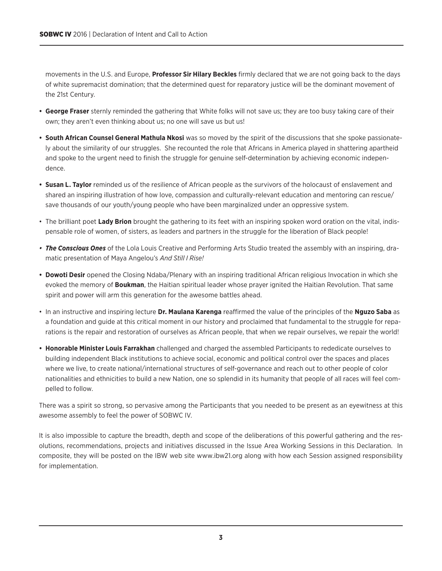movements in the U.S. and Europe, **Professor Sir Hilary Beckles** firmly declared that we are not going back to the days of white supremacist domination; that the determined quest for reparatory justice will be the dominant movement of the 21st Century.

- **George Fraser** sternly reminded the gathering that White folks will not save us; they are too busy taking care of their own; they aren't even thinking about us; no one will save us but us!
- **South African Counsel General Mathula Nkosi** was so moved by the spirit of the discussions that she spoke passionately about the similarity of our struggles. She recounted the role that Africans in America played in shattering apartheid and spoke to the urgent need to finish the struggle for genuine self-determination by achieving economic independence.
- **Susan L. Taylor** reminded us of the resilience of African people as the survivors of the holocaust of enslavement and shared an inspiring illustration of how love, compassion and culturally-relevant education and mentoring can rescue/ save thousands of our youth/young people who have been marginalized under an oppressive system.
- The brilliant poet **Lady Brion** brought the gathering to its feet with an inspiring spoken word oration on the vital, indispensable role of women, of sisters, as leaders and partners in the struggle for the liberation of Black people!
- *The Conscious Ones* of the Lola Louis Creative and Performing Arts Studio treated the assembly with an inspiring, dramatic presentation of Maya Angelou's *And Still I Rise!*
- **Dowoti Desir** opened the Closing Ndaba/Plenary with an inspiring traditional African religious Invocation in which she evoked the memory of **Boukman**, the Haitian spiritual leader whose prayer ignited the Haitian Revolution. That same spirit and power will arm this generation for the awesome battles ahead.
- In an instructive and inspiring lecture **Dr. Maulana Karenga** reaffi rmed the value of the principles of the **Nguzo Saba** as a foundation and guide at this critical moment in our history and proclaimed that fundamental to the struggle for reparations is the repair and restoration of ourselves as African people, that when we repair ourselves, we repair the world!
- **Honorable Minister Louis Farrakhan** challenged and charged the assembled Participants to rededicate ourselves to building independent Black institutions to achieve social, economic and political control over the spaces and places where we live, to create national/international structures of self-governance and reach out to other people of color nationalities and ethnicities to build a new Nation, one so splendid in its humanity that people of all races will feel compelled to follow.

There was a spirit so strong, so pervasive among the Participants that you needed to be present as an eyewitness at this awesome assembly to feel the power of SOBWC IV.

It is also impossible to capture the breadth, depth and scope of the deliberations of this powerful gathering and the resolutions, recommendations, projects and initiatives discussed in the Issue Area Working Sessions in this Declaration. In composite, they will be posted on the IBW web site www.ibw21.org along with how each Session assigned responsibility for implementation.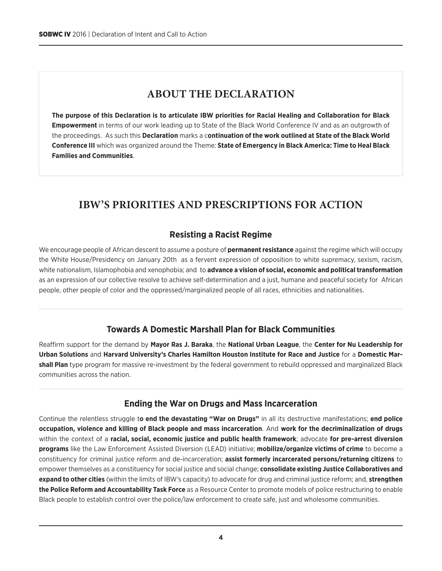# **ABOUT THE DECLARATION**

**The purpose of this Declaration is to articulate IBW priorities for Racial Healing and Collaboration for Black Empowerment** in terms of our work leading up to State of the Black World Conference IV and as an outgrowth of the proceedings. As such this **Declaration** marks a c**ontinuation of the work outlined at State of the Black World Conference III** which was organized around the Theme: **State of Emergency in Black America: Time to Heal Black Families and Communities**.

# **IBW'S PRIORITIES AND PRESCRIPTIONS FOR ACTION**

### **Resisting a Racist Regime**

We encourage people of African descent to assume a posture of **permanent resistance** against the regime which will occupy the White House/Presidency on January 20th as a fervent expression of opposition to white supremacy, sexism, racism, white nationalism, Islamophobia and xenophobia; and to **advance a vision of social, economic and political transformation**  as an expression of our collective resolve to achieve self-determination and a just, humane and peaceful society for African people, other people of color and the oppressed/marginalized people of all races, ethnicities and nationalities.

### **Towards A Domestic Marshall Plan for Black Communities**

Reaffirm support for the demand by Mayor Ras J. Baraka, the National Urban League, the Center for Nu Leadership for **Urban Solutions** and **Harvard University's Charles Hamilton Houston Institute for Race and Justice** for a **Domestic Marshall Plan** type program for massive re-investment by the federal government to rebuild oppressed and marginalized Black communities across the nation.

### **Ending the War on Drugs and Mass Incarceration**

Continue the relentless struggle t**o end the devastating "War on Drugs"** in all its destructive manifestations; **end police occupation, violence and killing of Black people and mass incarceration**. And **work for the decriminalization of drugs** within the context of a **racial, social, economic justice and public health framework**; advocate **for pre-arrest diversion programs** like the Law Enforcement Assisted Diversion (LEAD) initiative; **mobilize/organize victims of crime** to become a constituency for criminal justice reform and de-incarceration; **assist formerly incarcerated persons/returning citizens** to empower themselves as a constituency for social justice and social change; **consolidate existing Justice Collaboratives and expand to other cities** (within the limits of IBW's capacity) to advocate for drug and criminal justice reform; and, **strengthen the Police Reform and Accountability Task Force** as a Resource Center to promote models of police restructuring to enable Black people to establish control over the police/law enforcement to create safe, just and wholesome communities.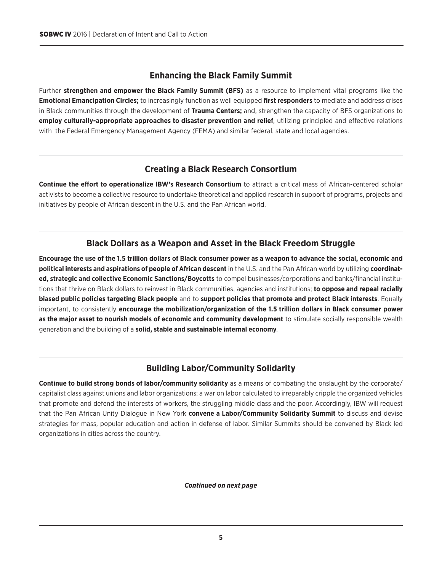### **Enhancing the Black Family Summit**

Further **strengthen and empower the Black Family Summit (BFS)** as a resource to implement vital programs like the **Emotional Emancipation Circles;** to increasingly function as well equipped first responders to mediate and address crises in Black communities through the development of **Trauma Centers;** and, strengthen the capacity of BFS organizations to **employ culturally-appropriate approaches to disaster prevention and relief**, utilizing principled and effective relations with the Federal Emergency Management Agency (FEMA) and similar federal, state and local agencies.

### **Creating a Black Research Consortium**

**Continue the effort to operationalize IBW's Research Consortium** to attract a critical mass of African-centered scholar activists to become a collective resource to undertake theoretical and applied research in support of programs, projects and initiatives by people of African descent in the U.S. and the Pan African world.

### **Black Dollars as a Weapon and Asset in the Black Freedom Struggle**

**Encourage the use of the 1.5 trillion dollars of Black consumer power as a weapon to advance the social, economic and political interests and aspirations of people of African descent** in the U.S. and the Pan African world by utilizing **coordinated, strategic and collective Economic Sanctions/Boycotts** to compel businesses/corporations and banks/financial institutions that thrive on Black dollars to reinvest in Black communities, agencies and institutions; **to oppose and repeal racially biased public policies targeting Black people** and to **support policies that promote and protect Black interests**. Equally important, to consistently **encourage the mobilization/organization of the 1.5 trillion dollars in Black consumer power as the major asset to nourish models of economic and community development** to stimulate socially responsible wealth generation and the building of a **solid, stable and sustainable internal economy**.

### **Building Labor/Community Solidarity**

**Continue to build strong bonds of labor/community solidarity** as a means of combating the onslaught by the corporate/ capitalist class against unions and labor organizations; a war on labor calculated to irreparably cripple the organized vehicles that promote and defend the interests of workers, the struggling middle class and the poor. Accordingly, IBW will request that the Pan African Unity Dialogue in New York **convene a Labor/Community Solidarity Summit** to discuss and devise strategies for mass, popular education and action in defense of labor. Similar Summits should be convened by Black led organizations in cities across the country.

### *Continued on next page*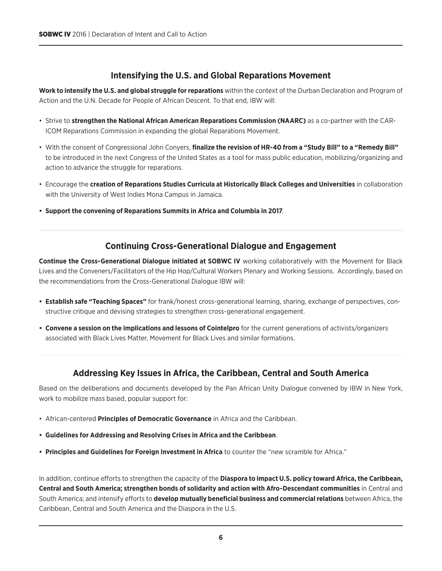### **Intensifying the U.S. and Global Reparations Movement**

**Work to intensify the U.S. and global struggle for reparations** within the context of the Durban Declaration and Program of Action and the U.N. Decade for People of African Descent. To that end, IBW will:

- Strive to **strengthen the National African American Reparations Commission (NAARC)** as a co-partner with the CAR-ICOM Reparations Commission in expanding the global Reparations Movement.
- With the consent of Congressional John Conyers, **finalize the revision of HR-40 from a "Study Bill" to a "Remedy Bill"** to be introduced in the next Congress of the United States as a tool for mass public education, mobilizing/organizing and action to advance the struggle for reparations.
- Encourage the **creation of Reparations Studies Curricula at Historically Black Colleges and Universities** in collaboration with the University of West Indies Mona Campus in Jamaica.
- **Support the convening of Reparations Summits in Africa and Columbia in 2017**.

### **Continuing Cross-Generational Dialogue and Engagement**

**Continue the Cross-Generational Dialogue initiated at SOBWC IV** working collaboratively with the Movement for Black Lives and the Conveners/Facilitators of the Hip Hop/Cultural Workers Plenary and Working Sessions. Accordingly, based on the recommendations from the Cross-Generational Dialogue IBW will:

- **Establish safe "Teaching Spaces"** for frank/honest cross-generational learning, sharing, exchange of perspectives, constructive critique and devising strategies to strengthen cross-generational engagement.
- **Convene a session on the implications and lessons of Cointelpro** for the current generations of activists/organizers associated with Black Lives Matter, Movement for Black Lives and similar formations.

### **Addressing Key Issues in Africa, the Caribbean, Central and South America**

Based on the deliberations and documents developed by the Pan African Unity Dialogue convened by IBW in New York, work to mobilize mass based, popular support for:

- African-centered **Principles of Democratic Governance** in Africa and the Caribbean.
- **Guidelines for Addressing and Resolving Crises in Africa and the Caribbean**.
- **Principles and Guidelines for Foreign Investment in Africa** to counter the "new scramble for Africa."

In addition, continue efforts to strengthen the capacity of the **Diaspora to impact U.S. policy toward Africa, the Caribbean, Central and South America; strengthen bonds of solidarity and action with Afro-Descendant communities** in Central and South America; and intensify efforts to **develop mutually beneficial business and commercial relations** between Africa, the Caribbean, Central and South America and the Diaspora in the U.S.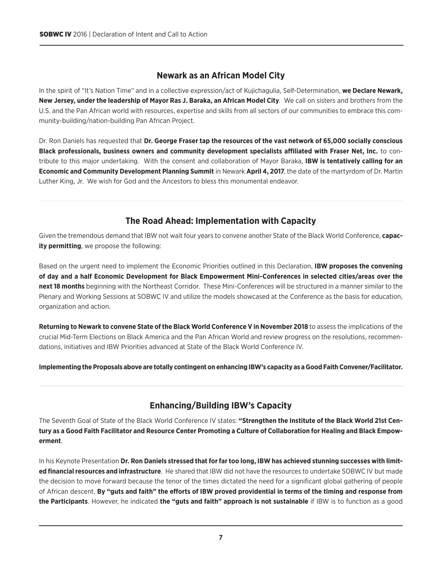### **Newark as an African Model City**

In the spirit of "It's Nation Time" and in a collective expression/act of Kujichagulia, Self-Determination, **we Declare Newark, New Jersey, under the leadership of Mayor Ras J. Baraka, an African Model City**. We call on sisters and brothers from the U.S. and the Pan African world with resources, expertise and skills from all sectors of our communities to embrace this community-building/nation-building Pan African Project.

Dr. Ron Daniels has requested that **Dr. George Fraser tap the resources of the vast network of 65,000 socially conscious Black professionals, business owners and community development specialists affiliated with Fraser Net, Inc.** to contribute to this major undertaking. With the consent and collaboration of Mayor Baraka, **IBW is tentatively calling for an Economic and Community Development Planning Summit** in Newark **April 4, 2017**, the date of the martyrdom of Dr. Martin Luther King, Jr. We wish for God and the Ancestors to bless this monumental endeavor.

## **The Road Ahead: Implementation with Capacity**

Given the tremendous demand that IBW not wait four years to convene another State of the Black World Conference, **capacity permitting**, we propose the following:

Based on the urgent need to implement the Economic Priorities outlined in this Declaration, **IBW proposes the convening of day and a half Economic Development for Black Empowerment Mini-Conferences in selected cities/areas over the next 18 months** beginning with the Northeast Corridor. These Mini-Conferences will be structured in a manner similar to the Plenary and Working Sessions at SOBWC IV and utilize the models showcased at the Conference as the basis for education, organization and action.

**Returning to Newark to convene State of the Black World Conference V in November 2018** to assess the implications of the crucial Mid-Term Elections on Black America and the Pan African World and review progress on the resolutions, recommendations, initiatives and IBW Priorities advanced at State of the Black World Conference IV.

**Implementing the Proposals above are totally contingent on enhancing IBW's capacity as a Good Faith Convener/Facilitator.** 

## **Enhancing/Building IBW's Capacity**

The Seventh Goal of State of the Black World Conference IV states: **"Strengthen the Institute of the Black World 21st Century as a Good Faith Facilitator and Resource Center Promoting a Culture of Collaboration for Healing and Black Empowerment**.

In his Keynote Presentation **Dr. Ron Daniels stressed that for far too long, IBW has achieved stunning successes with limited financial resources and infrastructure**. He shared that IBW did not have the resources to undertake SOBWC IV but made the decision to move forward because the tenor of the times dictated the need for a significant global gathering of people of African descent. **By "guts and faith" the eff orts of IBW proved providential in terms of the timing and response from the Participants**. However, he indicated **the "guts and faith" approach is not sustainable** if IBW is to function as a good